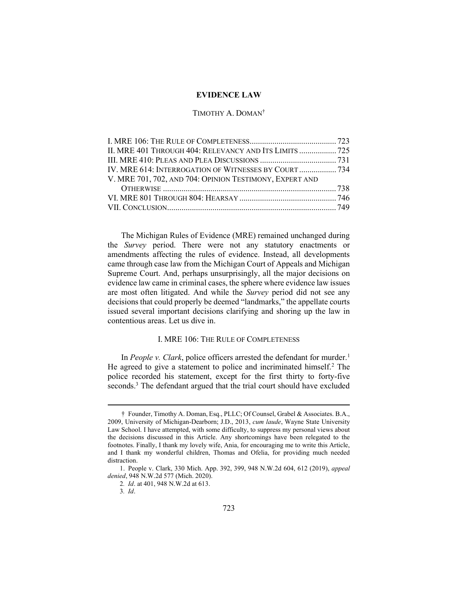### EVIDENCE LAW

## TIMOTHY A. DOMAN†

| II. MRE 401 THROUGH 404: RELEVANCY AND ITS LIMITS  725  |  |
|---------------------------------------------------------|--|
|                                                         |  |
| IV. MRE 614: INTERROGATION OF WITNESSES BY COURT  734   |  |
| V. MRE 701, 702, AND 704: OPINION TESTIMONY, EXPERT AND |  |
|                                                         |  |
|                                                         |  |
|                                                         |  |
|                                                         |  |

The Michigan Rules of Evidence (MRE) remained unchanged during the Survey period. There were not any statutory enactments or amendments affecting the rules of evidence. Instead, all developments came through case law from the Michigan Court of Appeals and Michigan Supreme Court. And, perhaps unsurprisingly, all the major decisions on evidence law came in criminal cases, the sphere where evidence law issues are most often litigated. And while the Survey period did not see any decisions that could properly be deemed "landmarks," the appellate courts issued several important decisions clarifying and shoring up the law in contentious areas. Let us dive in.

## I. MRE 106: THE RULE OF COMPLETENESS

In People v. Clark, police officers arrested the defendant for murder.<sup>1</sup> He agreed to give a statement to police and incriminated himself.<sup>2</sup> The police recorded his statement, except for the first thirty to forty-five seconds.<sup>3</sup> The defendant argued that the trial court should have excluded

<sup>†</sup> Founder, Timothy A. Doman, Esq., PLLC; Of Counsel, Grabel & Associates. B.A., 2009, University of Michigan-Dearborn; J.D., 2013, cum laude, Wayne State University Law School. I have attempted, with some difficulty, to suppress my personal views about the decisions discussed in this Article. Any shortcomings have been relegated to the footnotes. Finally, I thank my lovely wife, Ania, for encouraging me to write this Article, and I thank my wonderful children, Thomas and Ofelia, for providing much needed distraction.

 <sup>1.</sup> People v. Clark, 330 Mich. App. 392, 399, 948 N.W.2d 604, 612 (2019), appeal denied, 948 N.W.2d 577 (Mich. 2020).

<sup>2</sup>. Id. at 401, 948 N.W.2d at 613.

<sup>3</sup>. Id.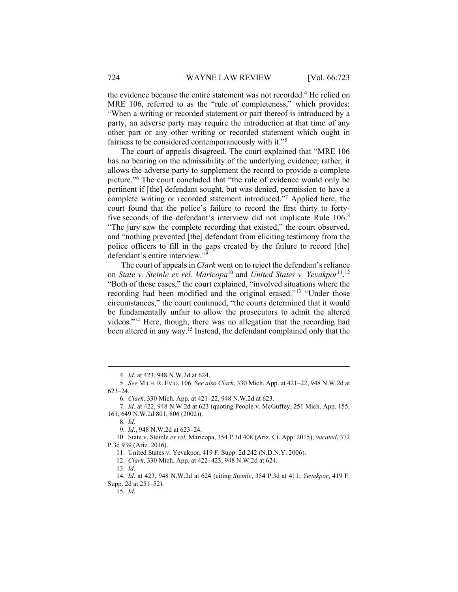the evidence because the entire statement was not recorded.<sup>4</sup> He relied on MRE 106, referred to as the "rule of completeness," which provides: "When a writing or recorded statement or part thereof is introduced by a party, an adverse party may require the introduction at that time of any other part or any other writing or recorded statement which ought in fairness to be considered contemporaneously with it."<sup>5</sup>

The court of appeals disagreed. The court explained that "MRE 106 has no bearing on the admissibility of the underlying evidence; rather, it allows the adverse party to supplement the record to provide a complete picture."<sup>6</sup> The court concluded that "the rule of evidence would only be pertinent if [the] defendant sought, but was denied, permission to have a complete writing or recorded statement introduced."<sup>7</sup> Applied here, the court found that the police's failure to record the first thirty to fortyfive seconds of the defendant's interview did not implicate Rule 106.<sup>8</sup> "The jury saw the complete recording that existed," the court observed, and "nothing prevented [the] defendant from eliciting testimony from the police officers to fill in the gaps created by the failure to record [the] defendant's entire interview."<sup>9</sup>

The court of appeals in *Clark* went on to reject the defendant's reliance on State v. Steinle ex rel. Maricopa<sup>10</sup> and United States v. Yevakpor<sup>11</sup>.<sup>12</sup> "Both of those cases," the court explained, "involved situations where the recording had been modified and the original erased."<sup>13</sup> "Under those circumstances," the court continued, "the courts determined that it would be fundamentally unfair to allow the prosecutors to admit the altered videos."<sup>14</sup> Here, though, there was no allegation that the recording had been altered in any way.<sup>15</sup> Instead, the defendant complained only that the

<sup>4</sup>. Id. at 423, 948 N.W.2d at 624.

 <sup>5.</sup> See MICH. R. EVID. 106. See also Clark, 330 Mich. App. at 421–22, 948 N.W.2d at 623–24.

<sup>6</sup>. Clark, 330 Mich. App. at 421–22, 948 N.W.2d at 623.

<sup>7</sup>. Id. at 422, 948 N.W.2d at 623 (quoting People v. McGuffey, 251 Mich. App. 155, 161, 649 N.W.2d 801, 806 (2002)).

<sup>8</sup>. Id.

<sup>9</sup>. Id., 948 N.W.2d at 623–24.

 <sup>10.</sup> State v. Steinle ex rel. Maricopa, 354 P.3d 408 (Ariz. Ct. App. 2015), vacated, 372 P.3d 939 (Ariz. 2016).

 <sup>11.</sup> United States v. Yevakpor, 419 F. Supp. 2d 242 (N.D.N.Y. 2006).

<sup>12</sup>. Clark, 330 Mich. App. at 422–423, 948 N.W.2d at 624.

 $13 \text{ Id.}$ 

<sup>14</sup>. Id. at 423, 948 N.W.2d at 624 (citing Steinle, 354 P.3d at 411; Yevakpor, 419 F. Supp. 2d at 251–52).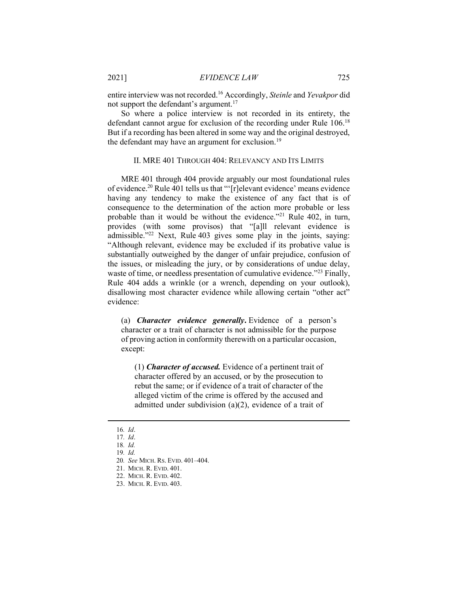entire interview was not recorded.<sup>16</sup> Accordingly, Steinle and Yevakpor did not support the defendant's argument.<sup>17</sup>

So where a police interview is not recorded in its entirety, the defendant cannot argue for exclusion of the recording under Rule 106.<sup>18</sup> But if a recording has been altered in some way and the original destroyed, the defendant may have an argument for exclusion.<sup>19</sup>

## II. MRE 401 THROUGH 404: RELEVANCY AND ITS LIMITS

MRE 401 through 404 provide arguably our most foundational rules of evidence.<sup>20</sup> Rule 401 tells us that "'[r]elevant evidence' means evidence having any tendency to make the existence of any fact that is of consequence to the determination of the action more probable or less probable than it would be without the evidence."<sup>21</sup> Rule 402, in turn, provides (with some provisos) that "[a]ll relevant evidence is admissible."<sup>22</sup> Next, Rule 403 gives some play in the joints, saying: "Although relevant, evidence may be excluded if its probative value is substantially outweighed by the danger of unfair prejudice, confusion of the issues, or misleading the jury, or by considerations of undue delay, waste of time, or needless presentation of cumulative evidence."<sup>23</sup> Finally, Rule 404 adds a wrinkle (or a wrench, depending on your outlook), disallowing most character evidence while allowing certain "other act" evidence:

(a) Character evidence generally. Evidence of a person's character or a trait of character is not admissible for the purpose of proving action in conformity therewith on a particular occasion, except:

(1) Character of accused. Evidence of a pertinent trait of character offered by an accused, or by the prosecution to rebut the same; or if evidence of a trait of character of the alleged victim of the crime is offered by the accused and admitted under subdivision (a)(2), evidence of a trait of

<sup>16</sup>. Id.

<sup>17</sup>. Id.

<sup>18</sup>. Id.

<sup>19</sup>. Id.

<sup>20</sup>. See MICH. RS. EVID. 401–404.

 <sup>21.</sup> MICH. R. EVID. 401.

 <sup>22.</sup> MICH. R. EVID. 402.

 <sup>23.</sup> MICH. R. EVID. 403.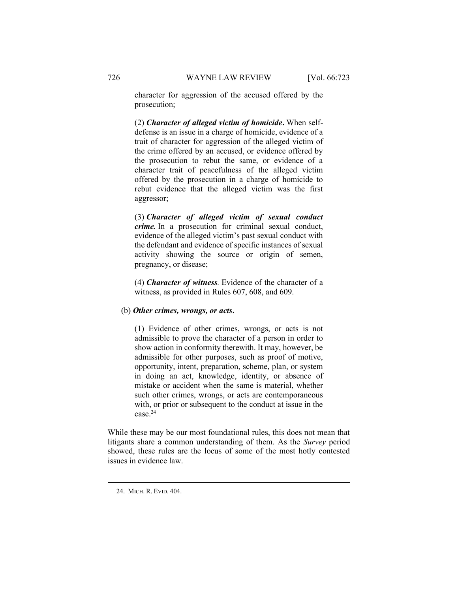character for aggression of the accused offered by the prosecution;

(2) Character of alleged victim of homicide. When selfdefense is an issue in a charge of homicide, evidence of a trait of character for aggression of the alleged victim of the crime offered by an accused, or evidence offered by the prosecution to rebut the same, or evidence of a character trait of peacefulness of the alleged victim offered by the prosecution in a charge of homicide to rebut evidence that the alleged victim was the first aggressor;

(3) Character of alleged victim of sexual conduct crime. In a prosecution for criminal sexual conduct, evidence of the alleged victim's past sexual conduct with the defendant and evidence of specific instances of sexual activity showing the source or origin of semen, pregnancy, or disease;

(4) Character of witness. Evidence of the character of a witness, as provided in Rules 607, 608, and 609.

#### (b) Other crimes, wrongs, or acts.

(1) Evidence of other crimes, wrongs, or acts is not admissible to prove the character of a person in order to show action in conformity therewith. It may, however, be admissible for other purposes, such as proof of motive, opportunity, intent, preparation, scheme, plan, or system in doing an act, knowledge, identity, or absence of mistake or accident when the same is material, whether such other crimes, wrongs, or acts are contemporaneous with, or prior or subsequent to the conduct at issue in the case.<sup>24</sup>

While these may be our most foundational rules, this does not mean that litigants share a common understanding of them. As the Survey period showed, these rules are the locus of some of the most hotly contested issues in evidence law.

 <sup>24.</sup> MICH. R. EVID. 404.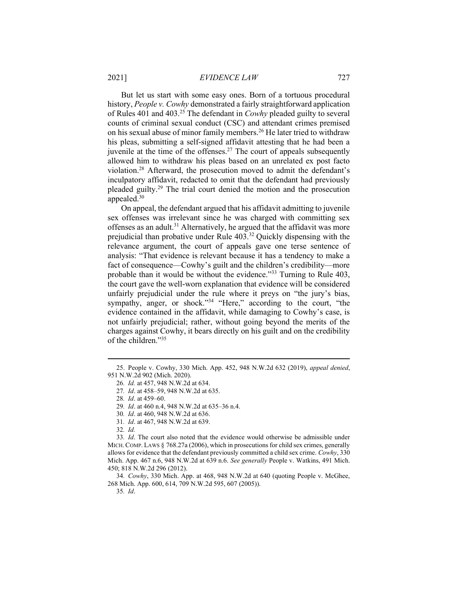But let us start with some easy ones. Born of a tortuous procedural history, People v. Cowhy demonstrated a fairly straightforward application of Rules 401 and 403.<sup>25</sup> The defendant in *Cowhy* pleaded guilty to several counts of criminal sexual conduct (CSC) and attendant crimes premised on his sexual abuse of minor family members.<sup>26</sup> He later tried to withdraw his pleas, submitting a self-signed affidavit attesting that he had been a juvenile at the time of the offenses.<sup>27</sup> The court of appeals subsequently allowed him to withdraw his pleas based on an unrelated ex post facto violation.<sup>28</sup> Afterward, the prosecution moved to admit the defendant's inculpatory affidavit, redacted to omit that the defendant had previously pleaded guilty.<sup>29</sup> The trial court denied the motion and the prosecution appealed.<sup>30</sup>

On appeal, the defendant argued that his affidavit admitting to juvenile sex offenses was irrelevant since he was charged with committing sex offenses as an adult.<sup>31</sup> Alternatively, he argued that the affidavit was more prejudicial than probative under Rule 403.<sup>32</sup> Quickly dispensing with the relevance argument, the court of appeals gave one terse sentence of analysis: "That evidence is relevant because it has a tendency to make a fact of consequence—Cowhy's guilt and the children's credibility—more probable than it would be without the evidence."<sup>33</sup> Turning to Rule 403, the court gave the well-worn explanation that evidence will be considered unfairly prejudicial under the rule where it preys on "the jury's bias, sympathy, anger, or shock."<sup>34</sup> "Here," according to the court, "the evidence contained in the affidavit, while damaging to Cowhy's case, is not unfairly prejudicial; rather, without going beyond the merits of the charges against Cowhy, it bears directly on his guilt and on the credibility of the children."35

31. Id. at 467, 948 N.W.2d at 639.

32. Id.

33. Id. The court also noted that the evidence would otherwise be admissible under MICH. COMP. LAWS  $\S$  768.27a (2006), which in prosecutions for child sex crimes, generally allows for evidence that the defendant previously committed a child sex crime. Cowhy, 330 Mich. App. 467 n.6, 948 N.W.2d at 639 n.6. See generally People v. Watkins, 491 Mich. 450; 818 N.W.2d 296 (2012).

34. Cowhy, 330 Mich. App. at 468, 948 N.W.2d at 640 (quoting People v. McGhee, 268 Mich. App. 600, 614, 709 N.W.2d 595, 607 (2005)).

 <sup>25.</sup> People v. Cowhy, 330 Mich. App. 452, 948 N.W.2d 632 (2019), appeal denied, 951 N.W.2d 902 (Mich. 2020).

<sup>26</sup>. Id. at 457, 948 N.W.2d at 634.

<sup>27</sup>. Id. at 458–59, 948 N.W.2d at 635.

<sup>28</sup>. Id. at 459–60.

<sup>29</sup>. Id. at 460 n.4, 948 N.W.2d at 635–36 n.4.

<sup>30</sup>. Id. at 460, 948 N.W.2d at 636.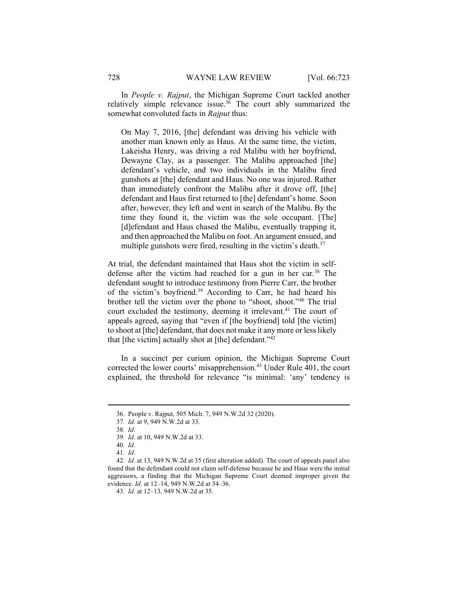In People v. Rajput, the Michigan Supreme Court tackled another relatively simple relevance issue.<sup>36</sup> The court ably summarized the somewhat convoluted facts in *Rajput* thus:

On May 7, 2016, [the] defendant was driving his vehicle with another man known only as Haus. At the same time, the victim, Lakeisha Henry, was driving a red Malibu with her boyfriend, Dewayne Clay, as a passenger. The Malibu approached [the] defendant's vehicle, and two individuals in the Malibu fired gunshots at [the] defendant and Haus. No one was injured. Rather than immediately confront the Malibu after it drove off, [the] defendant and Haus first returned to [the] defendant's home. Soon after, however, they left and went in search of the Malibu. By the time they found it, the victim was the sole occupant. [The] [d]efendant and Haus chased the Malibu, eventually trapping it, and then approached the Malibu on foot. An argument ensued, and multiple gunshots were fired, resulting in the victim's death.<sup>37</sup>

At trial, the defendant maintained that Haus shot the victim in selfdefense after the victim had reached for a gun in her car.<sup>38</sup> The defendant sought to introduce testimony from Pierre Carr, the brother of the victim's boyfriend.<sup>39</sup> According to Carr, he had heard his brother tell the victim over the phone to "shoot, shoot."<sup>40</sup> The trial court excluded the testimony, deeming it irrelevant.<sup>41</sup> The court of appeals agreed, saying that "even if [the boyfriend] told [the victim] to shoot at [the] defendant, that does not make it any more or less likely that [the victim] actually shot at [the] defendant." $42$ 

In a succinct per curium opinion, the Michigan Supreme Court corrected the lower courts' misapprehension.<sup>43</sup> Under Rule 401, the court explained, the threshold for relevance "is minimal: 'any' tendency is

 <sup>36.</sup> People v. Rajput, 505 Mich. 7, 949 N.W.2d 32 (2020).

<sup>37</sup>. Id. at 9, 949 N.W.2d at 33.

<sup>38</sup>. Id.

<sup>39</sup>. Id. at 10, 949 N.W.2d at 33.

<sup>40</sup>. Id.

<sup>41</sup>. Id.

<sup>42</sup>. Id. at 13, 949 N.W.2d at 35 (first alteration added). The court of appeals panel also found that the defendant could not claim self-defense because he and Haus were the initial aggressors, a finding that the Michigan Supreme Court deemed improper given the evidence. Id. at 12–14, 949 N.W.2d at 34–36.

<sup>43</sup>. Id. at 12–13, 949 N.W.2d at 35.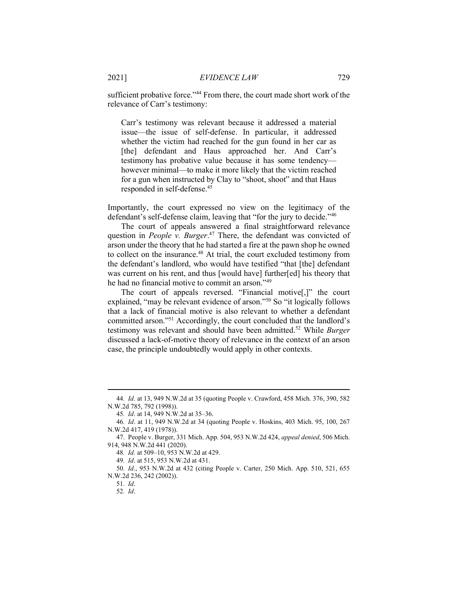sufficient probative force."<sup>44</sup> From there, the court made short work of the relevance of Carr's testimony:

Carr's testimony was relevant because it addressed a material issue—the issue of self-defense. In particular, it addressed whether the victim had reached for the gun found in her car as [the] defendant and Haus approached her. And Carr's testimony has probative value because it has some tendency however minimal—to make it more likely that the victim reached for a gun when instructed by Clay to "shoot, shoot" and that Haus responded in self-defense.<sup>45</sup>

Importantly, the court expressed no view on the legitimacy of the defendant's self-defense claim, leaving that "for the jury to decide."<sup>46</sup>

The court of appeals answered a final straightforward relevance question in People v. Burger.<sup>47</sup> There, the defendant was convicted of arson under the theory that he had started a fire at the pawn shop he owned to collect on the insurance.<sup>48</sup> At trial, the court excluded testimony from the defendant's landlord, who would have testified "that [the] defendant was current on his rent, and thus [would have] further[ed] his theory that he had no financial motive to commit an arson."<sup>49</sup>

The court of appeals reversed. "Financial motive[,]" the court explained, "may be relevant evidence of arson."<sup>50</sup> So "it logically follows that a lack of financial motive is also relevant to whether a defendant committed arson."<sup>51</sup> Accordingly, the court concluded that the landlord's testimony was relevant and should have been admitted.<sup>52</sup> While Burger discussed a lack-of-motive theory of relevance in the context of an arson case, the principle undoubtedly would apply in other contexts.

<sup>44</sup>. Id. at 13, 949 N.W.2d at 35 (quoting People v. Crawford, 458 Mich. 376, 390, 582 N.W.2d 785, 792 (1998)).

<sup>45</sup>. Id. at 14, 949 N.W.2d at 35–36.

<sup>46</sup>. Id. at 11, 949 N.W.2d at 34 (quoting People v. Hoskins, 403 Mich. 95, 100, 267 N.W.2d 417, 419 (1978)).

 <sup>47.</sup> People v. Burger, 331 Mich. App. 504, 953 N.W.2d 424, appeal denied, 506 Mich. 914, 948 N.W.2d 441 (2020).

<sup>48</sup>. Id. at 509–10, 953 N.W.2d at 429.

<sup>49</sup>. Id. at 515, 953 N.W.2d at 431.

<sup>50</sup>. Id., 953 N.W.2d at 432 (citing People v. Carter, 250 Mich. App. 510, 521, 655 N.W.2d 236, 242 (2002)).

<sup>51</sup>. Id.

<sup>52</sup>. Id.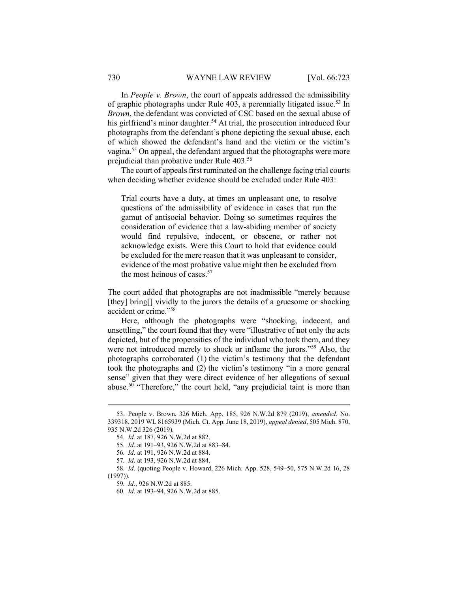In People v. Brown, the court of appeals addressed the admissibility of graphic photographs under Rule  $403$ , a perennially litigated issue.<sup>53</sup> In Brown, the defendant was convicted of CSC based on the sexual abuse of his girlfriend's minor daughter.<sup>54</sup> At trial, the prosecution introduced four photographs from the defendant's phone depicting the sexual abuse, each of which showed the defendant's hand and the victim or the victim's vagina.<sup>55</sup> On appeal, the defendant argued that the photographs were more prejudicial than probative under Rule 403.<sup>56</sup>

The court of appeals first ruminated on the challenge facing trial courts when deciding whether evidence should be excluded under Rule 403:

Trial courts have a duty, at times an unpleasant one, to resolve questions of the admissibility of evidence in cases that run the gamut of antisocial behavior. Doing so sometimes requires the consideration of evidence that a law-abiding member of society would find repulsive, indecent, or obscene, or rather not acknowledge exists. Were this Court to hold that evidence could be excluded for the mere reason that it was unpleasant to consider, evidence of the most probative value might then be excluded from the most heinous of cases.<sup>57</sup>

The court added that photographs are not inadmissible "merely because [they] bring[] vividly to the jurors the details of a gruesome or shocking accident or crime."<sup>58</sup>

Here, although the photographs were "shocking, indecent, and unsettling," the court found that they were "illustrative of not only the acts depicted, but of the propensities of the individual who took them, and they were not introduced merely to shock or inflame the jurors."<sup>59</sup> Also, the photographs corroborated (1) the victim's testimony that the defendant took the photographs and (2) the victim's testimony "in a more general sense" given that they were direct evidence of her allegations of sexual abuse.<sup>60</sup> "Therefore," the court held, "any prejudicial taint is more than

 <sup>53.</sup> People v. Brown, 326 Mich. App. 185, 926 N.W.2d 879 (2019), amended, No. 339318, 2019 WL 8165939 (Mich. Ct. App. June 18, 2019), appeal denied, 505 Mich. 870, 935 N.W.2d 326 (2019).

<sup>54</sup>. Id. at 187, 926 N.W.2d at 882.

<sup>55</sup>. Id. at 191–93, 926 N.W.2d at 883–84.

<sup>56</sup>. Id. at 191, 926 N.W.2d at 884.

<sup>57</sup>. Id. at 193, 926 N.W.2d at 884.

<sup>58</sup>. Id. (quoting People v. Howard, 226 Mich. App. 528, 549–50, 575 N.W.2d 16, 28 (1997)).

<sup>59</sup>. Id., 926 N.W.2d at 885.

<sup>60</sup>. Id. at 193–94, 926 N.W.2d at 885.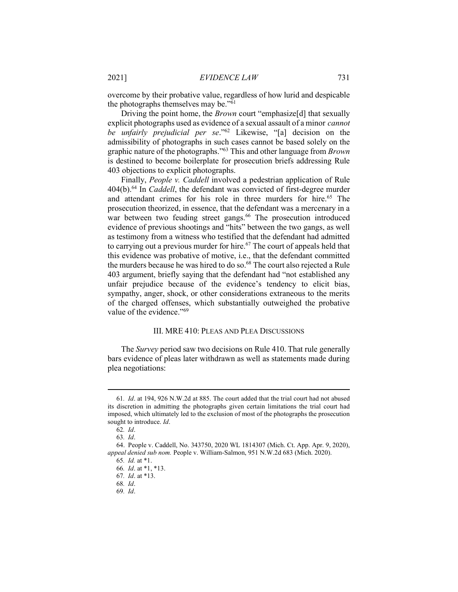overcome by their probative value, regardless of how lurid and despicable the photographs themselves may be."<sup>61</sup>

Driving the point home, the *Brown* court "emphasize<sup>[d]</sup> that sexually explicit photographs used as evidence of a sexual assault of a minor *cannot* be unfairly prejudicial per se."<sup>62</sup> Likewise, "[a] decision on the admissibility of photographs in such cases cannot be based solely on the graphic nature of the photographs."<sup>63</sup> This and other language from *Brown* is destined to become boilerplate for prosecution briefs addressing Rule 403 objections to explicit photographs.

Finally, People v. Caddell involved a pedestrian application of Rule 404(b).<sup>64</sup> In Caddell, the defendant was convicted of first-degree murder and attendant crimes for his role in three murders for hire.<sup>65</sup> The prosecution theorized, in essence, that the defendant was a mercenary in a war between two feuding street gangs.<sup>66</sup> The prosecution introduced evidence of previous shootings and "hits" between the two gangs, as well as testimony from a witness who testified that the defendant had admitted to carrying out a previous murder for hire.<sup>67</sup> The court of appeals held that this evidence was probative of motive, i.e., that the defendant committed the murders because he was hired to do so. $^{68}$  The court also rejected a Rule 403 argument, briefly saying that the defendant had "not established any unfair prejudice because of the evidence's tendency to elicit bias, sympathy, anger, shock, or other considerations extraneous to the merits of the charged offenses, which substantially outweighed the probative value of the evidence."<sup>69</sup>

## III. MRE 410: PLEAS AND PLEA DISCUSSIONS

The *Survey* period saw two decisions on Rule 410. That rule generally bars evidence of pleas later withdrawn as well as statements made during plea negotiations:

<sup>61</sup>. Id. at 194, 926 N.W.2d at 885. The court added that the trial court had not abused its discretion in admitting the photographs given certain limitations the trial court had imposed, which ultimately led to the exclusion of most of the photographs the prosecution sought to introduce. *Id.* 

<sup>62</sup>. Id.

<sup>63</sup>. Id.

 <sup>64.</sup> People v. Caddell, No. 343750, 2020 WL 1814307 (Mich. Ct. App. Apr. 9, 2020), appeal denied sub nom. People v. William-Salmon, 951 N.W.2d 683 (Mich. 2020). 65. Id. at \*1.

<sup>66</sup>. Id. at \*1, \*13.

<sup>67</sup>. Id. at \*13.

<sup>68</sup>. Id.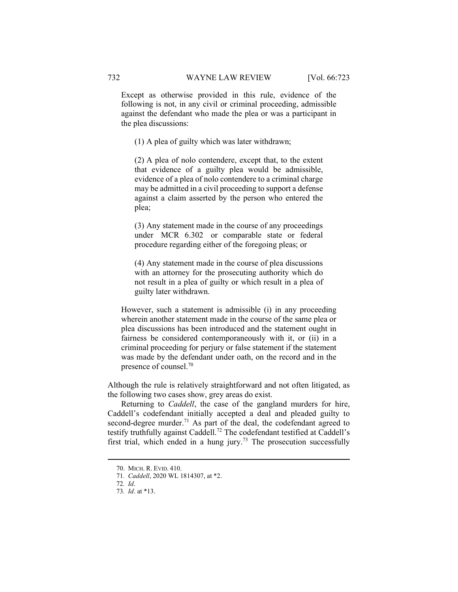Except as otherwise provided in this rule, evidence of the following is not, in any civil or criminal proceeding, admissible against the defendant who made the plea or was a participant in the plea discussions:

(1) A plea of guilty which was later withdrawn;

(2) A plea of nolo contendere, except that, to the extent that evidence of a guilty plea would be admissible, evidence of a plea of nolo contendere to a criminal charge may be admitted in a civil proceeding to support a defense against a claim asserted by the person who entered the plea;

(3) Any statement made in the course of any proceedings under MCR 6.302 or comparable state or federal procedure regarding either of the foregoing pleas; or

(4) Any statement made in the course of plea discussions with an attorney for the prosecuting authority which do not result in a plea of guilty or which result in a plea of guilty later withdrawn.

However, such a statement is admissible (i) in any proceeding wherein another statement made in the course of the same plea or plea discussions has been introduced and the statement ought in fairness be considered contemporaneously with it, or (ii) in a criminal proceeding for perjury or false statement if the statement was made by the defendant under oath, on the record and in the presence of counsel.<sup>70</sup>

Although the rule is relatively straightforward and not often litigated, as the following two cases show, grey areas do exist.

Returning to *Caddell*, the case of the gangland murders for hire, Caddell's codefendant initially accepted a deal and pleaded guilty to second-degree murder.<sup>71</sup> As part of the deal, the codefendant agreed to testify truthfully against Caddell.<sup>72</sup> The codefendant testified at Caddell's first trial, which ended in a hung jury.<sup>73</sup> The prosecution successfully

 <sup>70.</sup> MICH. R. EVID. 410.

<sup>71</sup>. Caddell, 2020 WL 1814307, at \*2.

<sup>72</sup>. Id.

<sup>73</sup>. Id. at \*13.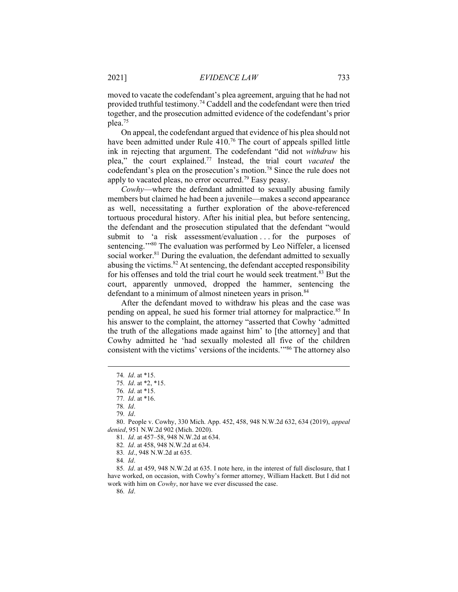moved to vacate the codefendant's plea agreement, arguing that he had not provided truthful testimony.<sup>74</sup> Caddell and the codefendant were then tried together, and the prosecution admitted evidence of the codefendant's prior plea.<sup>75</sup>

On appeal, the codefendant argued that evidence of his plea should not have been admitted under Rule 410.<sup>76</sup> The court of appeals spilled little ink in rejecting that argument. The codefendant "did not withdraw his plea," the court explained.<sup>77</sup> Instead, the trial court vacated the codefendant's plea on the prosecution's motion.<sup>78</sup> Since the rule does not apply to vacated pleas, no error occurred.<sup>79</sup> Easy peasy.

Cowhy—where the defendant admitted to sexually abusing family members but claimed he had been a juvenile—makes a second appearance as well, necessitating a further exploration of the above-referenced tortuous procedural history. After his initial plea, but before sentencing, the defendant and the prosecution stipulated that the defendant "would submit to 'a risk assessment/evaluation . . . for the purposes of sentencing."<sup>80</sup> The evaluation was performed by Leo Niffeler, a licensed social worker.<sup>81</sup> During the evaluation, the defendant admitted to sexually abusing the victims.<sup>82</sup> At sentencing, the defendant accepted responsibility for his offenses and told the trial court he would seek treatment.<sup>83</sup> But the court, apparently unmoved, dropped the hammer, sentencing the defendant to a minimum of almost nineteen years in prison.<sup>84</sup>

After the defendant moved to withdraw his pleas and the case was pending on appeal, he sued his former trial attorney for malpractice.<sup>85</sup> In his answer to the complaint, the attorney "asserted that Cowhy 'admitted the truth of the allegations made against him' to [the attorney] and that Cowhy admitted he 'had sexually molested all five of the children consistent with the victims' versions of the incidents.'"<sup>86</sup> The attorney also

79. Id.

 80. People v. Cowhy, 330 Mich. App. 452, 458, 948 N.W.2d 632, 634 (2019), appeal denied, 951 N.W.2d 902 (Mich. 2020).

<sup>74</sup>. Id. at \*15.

<sup>75</sup>. Id. at \*2, \*15.

<sup>76</sup>. Id. at \*15.

<sup>77</sup>. Id. at \*16.

<sup>78</sup>. Id.

<sup>81</sup>. Id. at 457–58, 948 N.W.2d at 634.

<sup>82</sup>. Id. at 458, 948 N.W.2d at 634.

<sup>83</sup>. Id., 948 N.W.2d at 635.

<sup>84</sup>. Id.

<sup>85</sup>. Id. at 459, 948 N.W.2d at 635. I note here, in the interest of full disclosure, that I have worked, on occasion, with Cowhy's former attorney, William Hackett. But I did not work with him on Cowhy, nor have we ever discussed the case.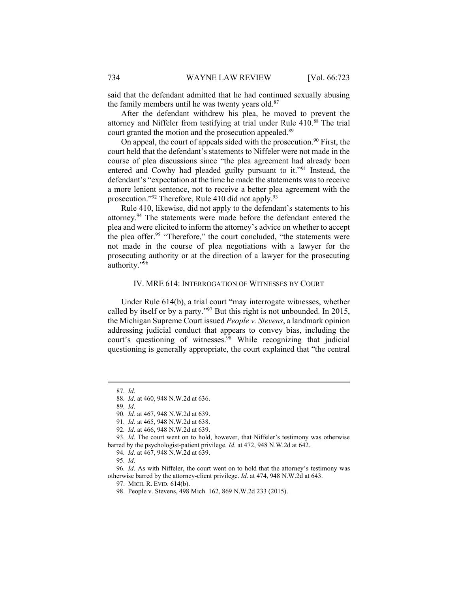said that the defendant admitted that he had continued sexually abusing the family members until he was twenty years old.<sup>87</sup>

After the defendant withdrew his plea, he moved to prevent the attorney and Niffeler from testifying at trial under Rule 410.88 The trial court granted the motion and the prosecution appealed.<sup>89</sup>

On appeal, the court of appeals sided with the prosecution.<sup>90</sup> First, the court held that the defendant's statements to Niffeler were not made in the course of plea discussions since "the plea agreement had already been entered and Cowhy had pleaded guilty pursuant to it."<sup>91</sup> Instead, the defendant's "expectation at the time he made the statements was to receive a more lenient sentence, not to receive a better plea agreement with the prosecution."<sup>92</sup> Therefore, Rule 410 did not apply.<sup>93</sup>

Rule 410, likewise, did not apply to the defendant's statements to his attorney.<sup>94</sup> The statements were made before the defendant entered the plea and were elicited to inform the attorney's advice on whether to accept the plea offer.<sup>95</sup> "Therefore," the court concluded, "the statements were not made in the course of plea negotiations with a lawyer for the prosecuting authority or at the direction of a lawyer for the prosecuting authority."<sup>96</sup>

### IV. MRE 614: INTERROGATION OF WITNESSES BY COURT

Under Rule 614(b), a trial court "may interrogate witnesses, whether called by itself or by a party."<sup>97</sup> But this right is not unbounded. In 2015, the Michigan Supreme Court issued People v. Stevens, a landmark opinion addressing judicial conduct that appears to convey bias, including the court's questioning of witnesses.<sup>98</sup> While recognizing that judicial questioning is generally appropriate, the court explained that "the central

89. Id.

93. Id. The court went on to hold, however, that Niffeler's testimony was otherwise barred by the psychologist-patient privilege. Id. at 472, 948 N.W.2d at 642.

96. Id. As with Niffeler, the court went on to hold that the attorney's testimony was otherwise barred by the attorney-client privilege. Id. at 474, 948 N.W.2d at 643.

<sup>87</sup>. Id.

<sup>88</sup>. Id. at 460, 948 N.W.2d at 636.

<sup>90</sup>. Id. at 467, 948 N.W.2d at 639.

<sup>91</sup>. Id. at 465, 948 N.W.2d at 638.

<sup>92</sup>. Id. at 466, 948 N.W.2d at 639.

<sup>94</sup>. Id. at 467, 948 N.W.2d at 639.

<sup>95</sup>. Id.

 <sup>97.</sup> MICH. R. EVID. 614(b).

 <sup>98.</sup> People v. Stevens, 498 Mich. 162, 869 N.W.2d 233 (2015).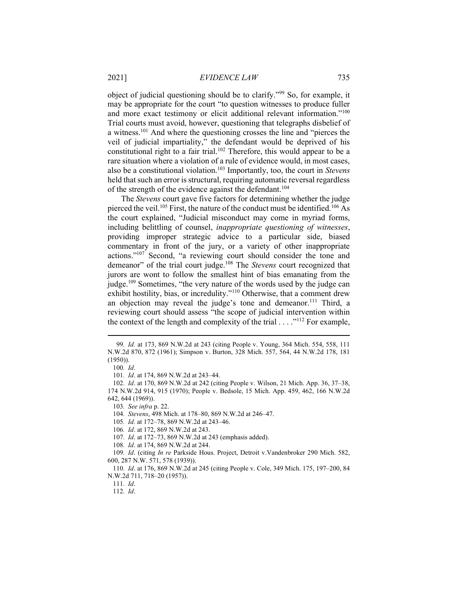object of judicial questioning should be to clarify."<sup>99</sup> So, for example, it may be appropriate for the court "to question witnesses to produce fuller and more exact testimony or elicit additional relevant information."<sup>100</sup> Trial courts must avoid, however, questioning that telegraphs disbelief of a witness.<sup>101</sup> And where the questioning crosses the line and "pierces the veil of judicial impartiality," the defendant would be deprived of his constitutional right to a fair trial.<sup>102</sup> Therefore, this would appear to be a rare situation where a violation of a rule of evidence would, in most cases, also be a constitutional violation.<sup>103</sup> Importantly, too, the court in *Stevens* held that such an error is structural, requiring automatic reversal regardless of the strength of the evidence against the defendant.<sup>104</sup>

The Stevens court gave five factors for determining whether the judge pierced the veil.<sup>105</sup> First, the nature of the conduct must be identified.<sup>106</sup> As the court explained, "Judicial misconduct may come in myriad forms, including belittling of counsel, inappropriate questioning of witnesses, providing improper strategic advice to a particular side, biased commentary in front of the jury, or a variety of other inappropriate actions."<sup>107</sup> Second, "a reviewing court should consider the tone and demeanor" of the trial court judge.<sup>108</sup> The *Stevens* court recognized that jurors are wont to follow the smallest hint of bias emanating from the judge.<sup>109</sup> Sometimes, "the very nature of the words used by the judge can exhibit hostility, bias, or incredulity."<sup>110</sup> Otherwise, that a comment drew an objection may reveal the judge's tone and demeanor.<sup>111</sup> Third, a reviewing court should assess "the scope of judicial intervention within the context of the length and complexity of the trial . . . ."<sup>112</sup> For example,

101. Id. at 174, 869 N.W.2d at 243–44.

<sup>99</sup>. Id. at 173, 869 N.W.2d at 243 (citing People v. Young, 364 Mich. 554, 558, 111 N.W.2d 870, 872 (1961); Simpson v. Burton, 328 Mich. 557, 564, 44 N.W.2d 178, 181 (1950)).

<sup>100</sup>. Id.

<sup>102</sup>. Id. at 170, 869 N.W.2d at 242 (citing People v. Wilson, 21 Mich. App. 36, 37–38, 174 N.W.2d 914, 915 (1970); People v. Bedsole, 15 Mich. App. 459, 462, 166 N.W.2d 642, 644 (1969)).

<sup>103</sup>. See infra p. 22.

<sup>104</sup>. Stevens, 498 Mich. at 178–80, 869 N.W.2d at 246–47.

<sup>105</sup>. Id. at 172–78, 869 N.W.2d at 243–46.

<sup>106</sup>. Id. at 172, 869 N.W.2d at 243.

<sup>107</sup>. Id. at 172–73, 869 N.W.2d at 243 (emphasis added).

<sup>108</sup>. Id. at 174, 869 N.W.2d at 244.

<sup>109</sup>. Id. (citing In re Parkside Hous. Project, Detroit v.Vandenbroker 290 Mich. 582, 600, 287 N.W. 571, 578 (1939)).

<sup>110</sup>. Id. at 176, 869 N.W.2d at 245 (citing People v. Cole, 349 Mich. 175, 197–200, 84 N.W.2d 711, 718–20 (1957)).

<sup>111</sup>. Id.

<sup>112</sup>. Id.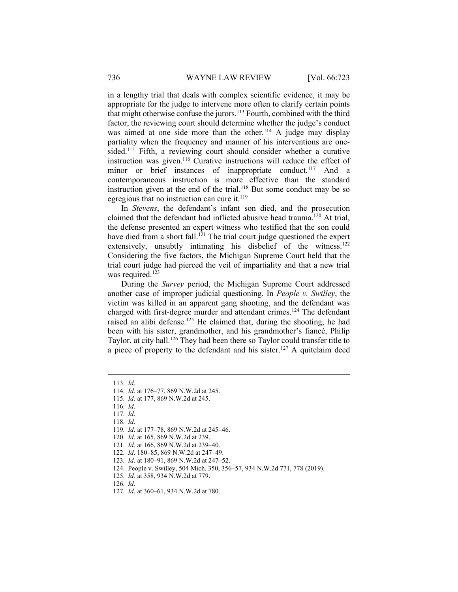in a lengthy trial that deals with complex scientific evidence, it may be appropriate for the judge to intervene more often to clarify certain points that might otherwise confuse the jurors.<sup>113</sup> Fourth, combined with the third factor, the reviewing court should determine whether the judge's conduct was aimed at one side more than the other.<sup>114</sup> A judge may display partiality when the frequency and manner of his interventions are onesided.<sup>115</sup> Fifth, a reviewing court should consider whether a curative instruction was given.<sup>116</sup> Curative instructions will reduce the effect of minor or brief instances of inappropriate conduct.<sup>117</sup> And a contemporaneous instruction is more effective than the standard instruction given at the end of the trial.<sup>118</sup> But some conduct may be so egregious that no instruction can cure it. $^{119}$ 

In Stevens, the defendant's infant son died, and the prosecution claimed that the defendant had inflicted abusive head trauma.<sup>120</sup> At trial, the defense presented an expert witness who testified that the son could have died from a short fall.<sup>121</sup> The trial court judge questioned the expert extensively, unsubtly intimating his disbelief of the witness.<sup>122</sup> Considering the five factors, the Michigan Supreme Court held that the trial court judge had pierced the veil of impartiality and that a new trial was required.<sup>123</sup>

During the Survey period, the Michigan Supreme Court addressed another case of improper judicial questioning. In People v. Swilley, the victim was killed in an apparent gang shooting, and the defendant was charged with first-degree murder and attendant crimes.<sup>124</sup> The defendant raised an alibi defense.<sup>125</sup> He claimed that, during the shooting, he had been with his sister, grandmother, and his grandmother's fiancé, Philip Taylor, at city hall.<sup>126</sup> They had been there so Taylor could transfer title to a piece of property to the defendant and his sister.<sup>127</sup> A quitclaim deed

<sup>113</sup>. Id.

<sup>114</sup>. Id. at 176–77, 869 N.W.2d at 245.

<sup>115</sup>. Id. at 177, 869 N.W.2d at 245.

<sup>116</sup>. Id.

<sup>117</sup>. Id.

<sup>118</sup>. Id.

<sup>119</sup>. Id. at 177–78, 869 N.W.2d at 245–46.

<sup>120</sup>. Id. at 165, 869 N.W.2d at 239.

<sup>121</sup>. Id. at 166, 869 N.W.2d at 239–40.

<sup>122</sup>. Id. 180–85, 869 N.W.2d at 247–49.

<sup>123</sup>. Id. at 180–91, 869 N.W.2d at 247–52.

 <sup>124.</sup> People v. Swilley, 504 Mich. 350, 356–57, 934 N.W.2d 771, 778 (2019).

<sup>125</sup>. Id. at 358, 934 N.W.2d at 779.

<sup>126</sup>. Id.

<sup>127</sup>. Id. at 360–61, 934 N.W.2d at 780.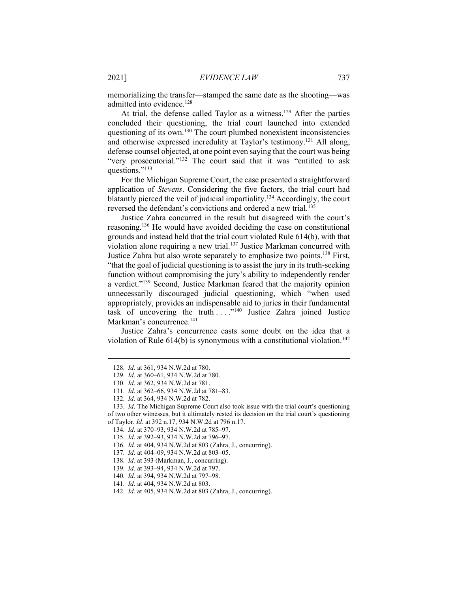memorializing the transfer—stamped the same date as the shooting—was admitted into evidence.<sup>128</sup>

At trial, the defense called Taylor as a witness.<sup>129</sup> After the parties concluded their questioning, the trial court launched into extended questioning of its own.<sup>130</sup> The court plumbed nonexistent inconsistencies and otherwise expressed incredulity at Taylor's testimony.<sup>131</sup> All along, defense counsel objected, at one point even saying that the court was being "very prosecutorial."<sup>132</sup> The court said that it was "entitled to ask questions."<sup>133</sup>

For the Michigan Supreme Court, the case presented a straightforward application of Stevens. Considering the five factors, the trial court had blatantly pierced the veil of judicial impartiality.<sup>134</sup> Accordingly, the court reversed the defendant's convictions and ordered a new trial.<sup>135</sup>

Justice Zahra concurred in the result but disagreed with the court's reasoning.<sup>136</sup> He would have avoided deciding the case on constitutional grounds and instead held that the trial court violated Rule 614(b), with that violation alone requiring a new trial.<sup>137</sup> Justice Markman concurred with Justice Zahra but also wrote separately to emphasize two points.<sup>138</sup> First, "that the goal of judicial questioning is to assist the jury in its truth-seeking function without compromising the jury's ability to independently render a verdict."<sup>139</sup> Second, Justice Markman feared that the majority opinion unnecessarily discouraged judicial questioning, which "when used appropriately, provides an indispensable aid to juries in their fundamental task of uncovering the truth  $\dots$ ."<sup>140</sup> Justice Zahra joined Justice Markman's concurrence.<sup>141</sup>

Justice Zahra's concurrence casts some doubt on the idea that a violation of Rule  $614(b)$  is synonymous with a constitutional violation.<sup>142</sup>

<sup>128</sup>. Id. at 361, 934 N.W.2d at 780.

<sup>129</sup>. Id. at 360–61, 934 N.W.2d at 780.

<sup>130</sup>. Id. at 362, 934 N.W.2d at 781.

<sup>131</sup>. Id. at 362–66, 934 N.W.2d at 781–83.

<sup>132</sup>. Id. at 364, 934 N.W.2d at 782.

<sup>133</sup>. Id. The Michigan Supreme Court also took issue with the trial court's questioning of two other witnesses, but it ultimately rested its decision on the trial court's questioning of Taylor. Id. at 392 n.17, 934 N.W.2d at 796 n.17.

<sup>134</sup>. Id. at 370–93, 934 N.W.2d at 785–97.

<sup>135</sup>. Id. at 392–93, 934 N.W.2d at 796–97.

<sup>136</sup>. Id. at 404, 934 N.W.2d at 803 (Zahra, J., concurring).

<sup>137</sup>. Id. at 404–09, 934 N.W.2d at 803–05.

<sup>138</sup>. Id. at 393 (Markman, J., concurring).

<sup>139</sup>. Id. at 393–94, 934 N.W.2d at 797.

<sup>140</sup>. Id. at 394, 934 N.W.2d at 797–98.

<sup>141</sup>. Id. at 404, 934 N.W.2d at 803.

<sup>142</sup>. Id. at 405, 934 N.W.2d at 803 (Zahra, J., concurring).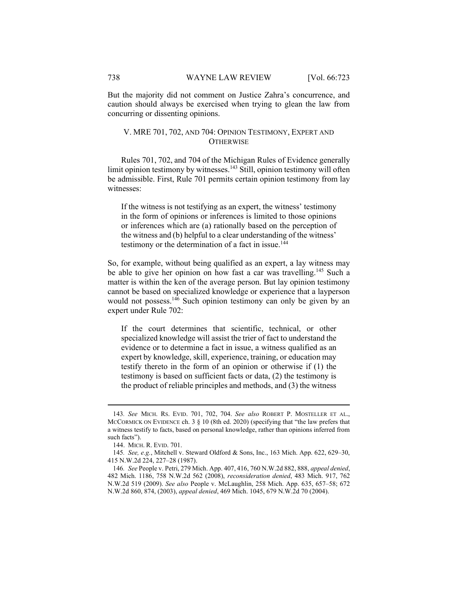But the majority did not comment on Justice Zahra's concurrence, and caution should always be exercised when trying to glean the law from concurring or dissenting opinions.

# V. MRE 701, 702, AND 704: OPINION TESTIMONY, EXPERT AND **OTHERWISE**

Rules 701, 702, and 704 of the Michigan Rules of Evidence generally limit opinion testimony by witnesses.<sup>143</sup> Still, opinion testimony will often be admissible. First, Rule 701 permits certain opinion testimony from lay witnesses:

If the witness is not testifying as an expert, the witness' testimony in the form of opinions or inferences is limited to those opinions or inferences which are (a) rationally based on the perception of the witness and (b) helpful to a clear understanding of the witness' testimony or the determination of a fact in issue.<sup>144</sup>

So, for example, without being qualified as an expert, a lay witness may be able to give her opinion on how fast a car was travelling.<sup>145</sup> Such a matter is within the ken of the average person. But lay opinion testimony cannot be based on specialized knowledge or experience that a layperson would not possess.<sup>146</sup> Such opinion testimony can only be given by an expert under Rule 702:

If the court determines that scientific, technical, or other specialized knowledge will assist the trier of fact to understand the evidence or to determine a fact in issue, a witness qualified as an expert by knowledge, skill, experience, training, or education may testify thereto in the form of an opinion or otherwise if (1) the testimony is based on sufficient facts or data, (2) the testimony is the product of reliable principles and methods, and (3) the witness

<sup>143</sup>. See MICH. RS. EVID. 701, 702, 704. See also ROBERT P. MOSTELLER ET AL., MCCORMICK ON EVIDENCE ch. 3 § 10 (8th ed. 2020) (specifying that "the law prefers that a witness testify to facts, based on personal knowledge, rather than opinions inferred from such facts").

 <sup>144.</sup> MICH. R. EVID. 701.

<sup>145</sup>. See, e.g., Mitchell v. Steward Oldford & Sons, Inc., 163 Mich. App. 622, 629–30, 415 N.W.2d 224, 227–28 (1987).

<sup>146</sup>. See People v. Petri, 279 Mich. App. 407, 416, 760 N.W.2d 882, 888, appeal denied, 482 Mich. 1186, 758 N.W.2d 562 (2008), reconsideration denied, 483 Mich. 917, 762 N.W.2d 519 (2009). See also People v. McLaughlin, 258 Mich. App. 635, 657–58; 672 N.W.2d 860, 874, (2003), appeal denied, 469 Mich. 1045, 679 N.W.2d 70 (2004).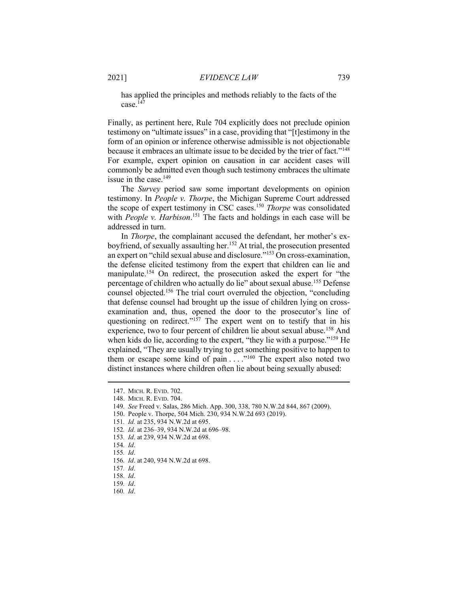has applied the principles and methods reliably to the facts of the case. $147$ 

Finally, as pertinent here, Rule 704 explicitly does not preclude opinion testimony on "ultimate issues" in a case, providing that "[t]estimony in the form of an opinion or inference otherwise admissible is not objectionable because it embraces an ultimate issue to be decided by the trier of fact."<sup>148</sup> For example, expert opinion on causation in car accident cases will commonly be admitted even though such testimony embraces the ultimate issue in the case. $149$ 

The Survey period saw some important developments on opinion testimony. In People v. Thorpe, the Michigan Supreme Court addressed the scope of expert testimony in CSC cases.<sup>150</sup> Thorpe was consolidated with People v. Harbison.<sup>151</sup> The facts and holdings in each case will be addressed in turn.

In Thorpe, the complainant accused the defendant, her mother's exboyfriend, of sexually assaulting her.<sup>152</sup> At trial, the prosecution presented an expert on "child sexual abuse and disclosure."<sup>153</sup> On cross-examination, the defense elicited testimony from the expert that children can lie and manipulate.<sup>154</sup> On redirect, the prosecution asked the expert for "the percentage of children who actually do lie" about sexual abuse.<sup>155</sup> Defense counsel objected.<sup>156</sup> The trial court overruled the objection, "concluding that defense counsel had brought up the issue of children lying on crossexamination and, thus, opened the door to the prosecutor's line of questioning on redirect." $157$  The expert went on to testify that in his experience, two to four percent of children lie about sexual abuse.<sup>158</sup> And when kids do lie, according to the expert, "they lie with a purpose."<sup>159</sup> He explained, "They are usually trying to get something positive to happen to them or escape some kind of pain . . . . "<sup>160</sup> The expert also noted two distinct instances where children often lie about being sexually abused:

152. Id. at 236–39, 934 N.W.2d at 696–98.

155. Id.

 <sup>147.</sup> MICH. R. EVID. 702.

 <sup>148.</sup> MICH. R. EVID. 704.

<sup>149</sup>. See Freed v. Salas, 286 Mich. App. 300, 338, 780 N.W.2d 844, 867 (2009).

 <sup>150.</sup> People v. Thorpe, 504 Mich. 230, 934 N.W.2d 693 (2019).

<sup>151</sup>. Id. at 235, 934 N.W.2d at 695.

<sup>153</sup>. Id. at 239, 934 N.W.2d at 698.

<sup>154</sup>. Id.

<sup>156</sup>. Id. at 240, 934 N.W.2d at 698.

<sup>157</sup>. Id.

<sup>158</sup>. Id.

<sup>159</sup>. Id.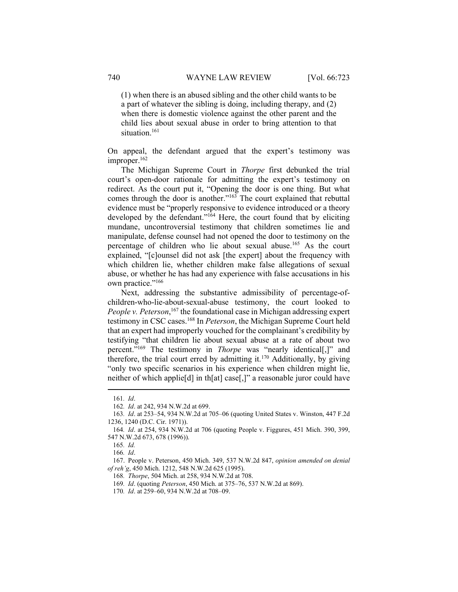(1) when there is an abused sibling and the other child wants to be a part of whatever the sibling is doing, including therapy, and (2) when there is domestic violence against the other parent and the child lies about sexual abuse in order to bring attention to that situation.<sup>161</sup>

On appeal, the defendant argued that the expert's testimony was improper.<sup>162</sup>

The Michigan Supreme Court in Thorpe first debunked the trial court's open-door rationale for admitting the expert's testimony on redirect. As the court put it, "Opening the door is one thing. But what comes through the door is another."<sup>163</sup> The court explained that rebuttal evidence must be "properly responsive to evidence introduced or a theory developed by the defendant."<sup>164</sup> Here, the court found that by eliciting mundane, uncontroversial testimony that children sometimes lie and manipulate, defense counsel had not opened the door to testimony on the percentage of children who lie about sexual abuse.<sup>165</sup> As the court explained, "[c]ounsel did not ask [the expert] about the frequency with which children lie, whether children make false allegations of sexual abuse, or whether he has had any experience with false accusations in his own practice."<sup>166</sup>

Next, addressing the substantive admissibility of percentage-ofchildren-who-lie-about-sexual-abuse testimony, the court looked to People v. Peterson,<sup>167</sup> the foundational case in Michigan addressing expert testimony in CSC cases.<sup>168</sup> In *Peterson*, the Michigan Supreme Court held that an expert had improperly vouched for the complainant's credibility by testifying "that children lie about sexual abuse at a rate of about two percent."<sup>169</sup> The testimony in *Thorpe* was "nearly identical[,]" and therefore, the trial court erred by admitting it.<sup>170</sup> Additionally, by giving "only two specific scenarios in his experience when children might lie, neither of which applie[d] in th[at] case[,]" a reasonable juror could have

<sup>161</sup>. Id.

<sup>162</sup>. Id. at 242, 934 N.W.2d at 699.

<sup>163</sup>. Id. at 253–54, 934 N.W.2d at 705–06 (quoting United States v. Winston, 447 F.2d 1236, 1240 (D.C. Cir. 1971)).

<sup>164</sup>. Id. at 254, 934 N.W.2d at 706 (quoting People v. Figgures, 451 Mich. 390, 399, 547 N.W.2d 673, 678 (1996)).

<sup>165</sup>. Id.

<sup>166</sup>. Id.

 <sup>167.</sup> People v. Peterson, 450 Mich. 349, 537 N.W.2d 847, opinion amended on denial of reh'g, 450 Mich. 1212, 548 N.W.2d 625 (1995).

<sup>168</sup>. Thorpe, 504 Mich. at 258, 934 N.W.2d at 708.

<sup>169</sup>. Id. (quoting Peterson, 450 Mich. at 375–76, 537 N.W.2d at 869).

<sup>170.</sup> *Id.* at 259–60, 934 N.W.2d at 708–09.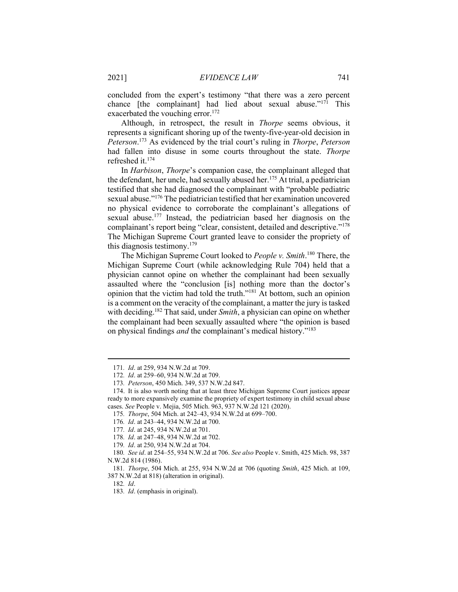concluded from the expert's testimony "that there was a zero percent chance [the complainant] had lied about sexual abuse." $17\overline{1}$  This exacerbated the vouching error.<sup>172</sup>

Although, in retrospect, the result in Thorpe seems obvious, it represents a significant shoring up of the twenty-five-year-old decision in Peterson.<sup>173</sup> As evidenced by the trial court's ruling in Thorpe, Peterson had fallen into disuse in some courts throughout the state. Thorpe refreshed it.<sup>174</sup>

In Harbison, Thorpe's companion case, the complainant alleged that the defendant, her uncle, had sexually abused her.<sup>175</sup> At trial, a pediatrician testified that she had diagnosed the complainant with "probable pediatric sexual abuse."<sup>176</sup> The pediatrician testified that her examination uncovered no physical evidence to corroborate the complainant's allegations of sexual abuse.<sup>177</sup> Instead, the pediatrician based her diagnosis on the complainant's report being "clear, consistent, detailed and descriptive."<sup>178</sup> The Michigan Supreme Court granted leave to consider the propriety of this diagnosis testimony. $179$ 

The Michigan Supreme Court looked to People v. Smith.<sup>180</sup> There, the Michigan Supreme Court (while acknowledging Rule 704) held that a physician cannot opine on whether the complainant had been sexually assaulted where the "conclusion [is] nothing more than the doctor's opinion that the victim had told the truth."<sup>181</sup> At bottom, such an opinion is a comment on the veracity of the complainant, a matter the jury is tasked with deciding.<sup>182</sup> That said, under *Smith*, a physician can opine on whether the complainant had been sexually assaulted where "the opinion is based on physical findings *and* the complainant's medical history."<sup>183</sup>

<sup>171</sup>. Id. at 259, 934 N.W.2d at 709.

<sup>172</sup>. Id. at 259–60, 934 N.W.2d at 709.

<sup>173</sup>. Peterson, 450 Mich. 349, 537 N.W.2d 847.

 <sup>174.</sup> It is also worth noting that at least three Michigan Supreme Court justices appear ready to more expansively examine the propriety of expert testimony in child sexual abuse cases. See People v. Mejia, 505 Mich. 963, 937 N.W.2d 121 (2020).

<sup>175</sup>. Thorpe, 504 Mich. at 242–43, 934 N.W.2d at 699–700.

<sup>176</sup>. Id. at 243–44, 934 N.W.2d at 700.

<sup>177</sup>. Id. at 245, 934 N.W.2d at 701.

<sup>178</sup>. Id. at 247–48, 934 N.W.2d at 702.

<sup>179</sup>. Id. at 250, 934 N.W.2d at 704.

<sup>180</sup>. See id. at 254–55, 934 N.W.2d at 706. See also People v. Smith, 425 Mich. 98, 387 N.W.2d 814 (1986).

<sup>181</sup>. Thorpe, 504 Mich. at 255, 934 N.W.2d at 706 (quoting Smith, 425 Mich. at 109, 387 N.W.2d at 818) (alteration in original).

<sup>182</sup>. Id.

<sup>183</sup>. Id. (emphasis in original).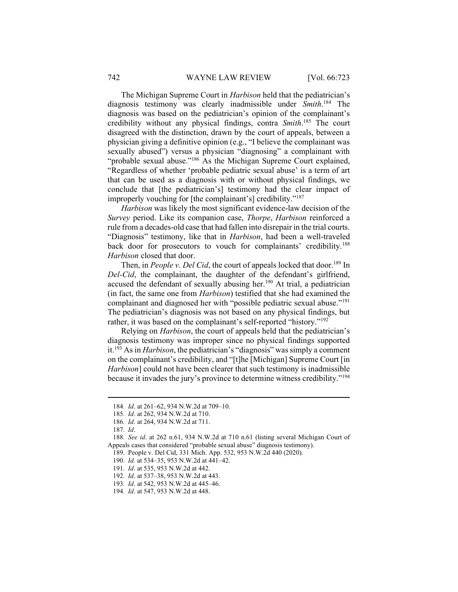The Michigan Supreme Court in Harbison held that the pediatrician's diagnosis testimony was clearly inadmissible under Smith.<sup>184</sup> The diagnosis was based on the pediatrician's opinion of the complainant's credibility without any physical findings, contra Smith.<sup>185</sup> The court disagreed with the distinction, drawn by the court of appeals, between a physician giving a definitive opinion (e.g., "I believe the complainant was sexually abused") versus a physician "diagnosing" a complainant with "probable sexual abuse."<sup>186</sup> As the Michigan Supreme Court explained, "Regardless of whether 'probable pediatric sexual abuse' is a term of art that can be used as a diagnosis with or without physical findings, we conclude that [the pediatrician's] testimony had the clear impact of improperly vouching for [the complainant's] credibility."<sup>187</sup>

Harbison was likely the most significant evidence-law decision of the Survey period. Like its companion case, Thorpe, Harbison reinforced a rule from a decades-old case that had fallen into disrepair in the trial courts. "Diagnosis" testimony, like that in *Harbison*, had been a well-traveled back door for prosecutors to vouch for complainants' credibility.<sup>188</sup> Harbison closed that door.

Then, in People v. Del Cid, the court of appeals locked that door.<sup>189</sup> In Del-Cid, the complainant, the daughter of the defendant's girlfriend, accused the defendant of sexually abusing her.<sup>190</sup> At trial, a pediatrician (in fact, the same one from Harbison) testified that she had examined the complainant and diagnosed her with "possible pediatric sexual abuse."<sup>191</sup> The pediatrician's diagnosis was not based on any physical findings, but rather, it was based on the complainant's self-reported "history."<sup>192</sup>

Relying on Harbison, the court of appeals held that the pediatrician's diagnosis testimony was improper since no physical findings supported it.<sup>193</sup> As in *Harbison*, the pediatrician's "diagnosis" was simply a comment on the complainant's credibility, and "[t]he [Michigan] Supreme Court [in Harbison] could not have been clearer that such testimony is inadmissible because it invades the jury's province to determine witness credibility."<sup>194</sup>

<sup>184</sup>. Id. at 261–62, 934 N.W.2d at 709–10.

<sup>185</sup>. Id. at 262, 934 N.W.2d at 710.

<sup>186</sup>. Id. at 264, 934 N.W.2d at 711.

<sup>187</sup>. Id.

<sup>188</sup>. See id. at 262 n.61, 934 N.W.2d at 710 n.61 (listing several Michigan Court of Appeals cases that considered "probable sexual abuse" diagnosis testimony).

 <sup>189.</sup> People v. Del Cid, 331 Mich. App. 532, 953 N.W.2d 440 (2020).

<sup>190</sup>. Id. at 534–35, 953 N.W.2d at 441–42.

<sup>191</sup>. Id. at 535, 953 N.W.2d at 442.

<sup>192</sup>. Id. at 537–38, 953 N.W.2d at 443.

<sup>193</sup>. Id. at 542, 953 N.W.2d at 445–46.

<sup>194</sup>. Id. at 547, 953 N.W.2d at 448.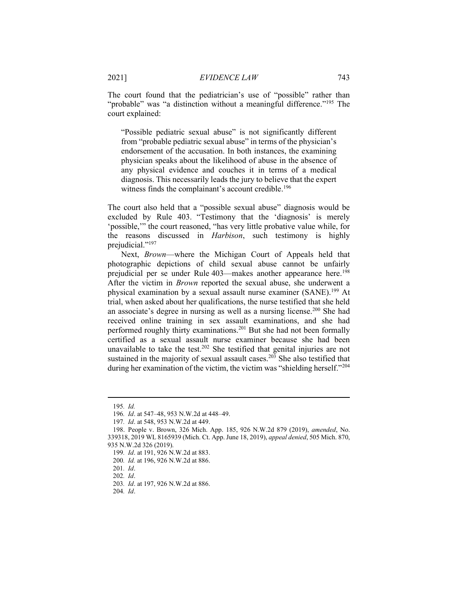The court found that the pediatrician's use of "possible" rather than "probable" was "a distinction without a meaningful difference."<sup>195</sup> The court explained:

"Possible pediatric sexual abuse" is not significantly different from "probable pediatric sexual abuse" in terms of the physician's endorsement of the accusation. In both instances, the examining physician speaks about the likelihood of abuse in the absence of any physical evidence and couches it in terms of a medical diagnosis. This necessarily leads the jury to believe that the expert witness finds the complainant's account credible.<sup>196</sup>

The court also held that a "possible sexual abuse" diagnosis would be excluded by Rule 403. "Testimony that the 'diagnosis' is merely 'possible,'" the court reasoned, "has very little probative value while, for the reasons discussed in Harbison, such testimony is highly prejudicial."<sup>197</sup>

Next, Brown—where the Michigan Court of Appeals held that photographic depictions of child sexual abuse cannot be unfairly prejudicial per se under Rule 403—makes another appearance here.<sup>198</sup> After the victim in *Brown* reported the sexual abuse, she underwent a physical examination by a sexual assault nurse examiner (SANE).<sup>199</sup> At trial, when asked about her qualifications, the nurse testified that she held an associate's degree in nursing as well as a nursing license.<sup>200</sup> She had received online training in sex assault examinations, and she had performed roughly thirty examinations.<sup>201</sup> But she had not been formally certified as a sexual assault nurse examiner because she had been unavailable to take the test.<sup>202</sup> She testified that genital injuries are not sustained in the majority of sexual assault cases.<sup>203</sup> She also testified that during her examination of the victim, the victim was "shielding herself."<sup>204</sup>

<sup>195</sup>. Id.

<sup>196</sup>. Id. at 547–48, 953 N.W.2d at 448–49.

<sup>197</sup>. Id. at 548, 953 N.W.2d at 449.

 <sup>198.</sup> People v. Brown, 326 Mich. App. 185, 926 N.W.2d 879 (2019), amended, No. 339318, 2019 WL 8165939 (Mich. Ct. App. June 18, 2019), appeal denied, 505 Mich. 870, 935 N.W.2d 326 (2019).

<sup>199</sup>. Id. at 191, 926 N.W.2d at 883.

<sup>200</sup>. Id. at 196, 926 N.W.2d at 886.

<sup>201</sup>. Id.

<sup>202</sup>. Id.

<sup>203</sup>. Id. at 197, 926 N.W.2d at 886.

<sup>204</sup>. Id.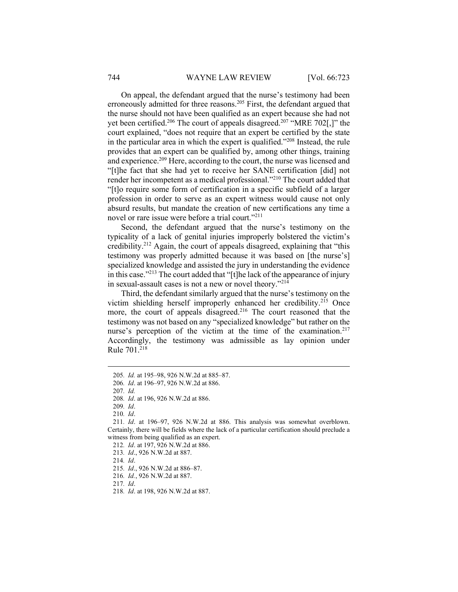On appeal, the defendant argued that the nurse's testimony had been erroneously admitted for three reasons.<sup>205</sup> First, the defendant argued that the nurse should not have been qualified as an expert because she had not yet been certified.<sup>206</sup> The court of appeals disagreed.<sup>207</sup> "MRE 702[,]" the court explained, "does not require that an expert be certified by the state in the particular area in which the expert is qualified."<sup>208</sup> Instead, the rule provides that an expert can be qualified by, among other things, training and experience.<sup>209</sup> Here, according to the court, the nurse was licensed and "[t]he fact that she had yet to receive her SANE certification [did] not render her incompetent as a medical professional."<sup>210</sup> The court added that "[t]o require some form of certification in a specific subfield of a larger profession in order to serve as an expert witness would cause not only absurd results, but mandate the creation of new certifications any time a novel or rare issue were before a trial court."<sup>211</sup>

Second, the defendant argued that the nurse's testimony on the typicality of a lack of genital injuries improperly bolstered the victim's credibility.<sup>212</sup> Again, the court of appeals disagreed, explaining that "this testimony was properly admitted because it was based on [the nurse's] specialized knowledge and assisted the jury in understanding the evidence in this case."<sup>213</sup> The court added that "[t]he lack of the appearance of injury in sexual-assault cases is not a new or novel theory."<sup>214</sup>

Third, the defendant similarly argued that the nurse's testimony on the victim shielding herself improperly enhanced her credibility.<sup>215</sup> Once more, the court of appeals disagreed.<sup>216</sup> The court reasoned that the testimony was not based on any "specialized knowledge" but rather on the nurse's perception of the victim at the time of the examination.<sup>217</sup> Accordingly, the testimony was admissible as lay opinion under Rule 701.<sup>218</sup>

209. Id.

<sup>205</sup>. Id. at 195–98, 926 N.W.2d at 885–87.

<sup>206</sup>. Id. at 196–97, 926 N.W.2d at 886.

<sup>207</sup>. Id.

<sup>208</sup>. Id. at 196, 926 N.W.2d at 886.

<sup>210</sup>. Id.

<sup>211</sup>. Id. at 196–97, 926 N.W.2d at 886. This analysis was somewhat overblown. Certainly, there will be fields where the lack of a particular certification should preclude a witness from being qualified as an expert.

<sup>212</sup>. Id. at 197, 926 N.W.2d at 886.

<sup>213</sup>. Id., 926 N.W.2d at 887.

<sup>215</sup>. Id., 926 N.W.2d at 886–87.

<sup>216</sup>. Id., 926 N.W.2d at 887.

<sup>217</sup>. Id.

<sup>218</sup>. Id. at 198, 926 N.W.2d at 887.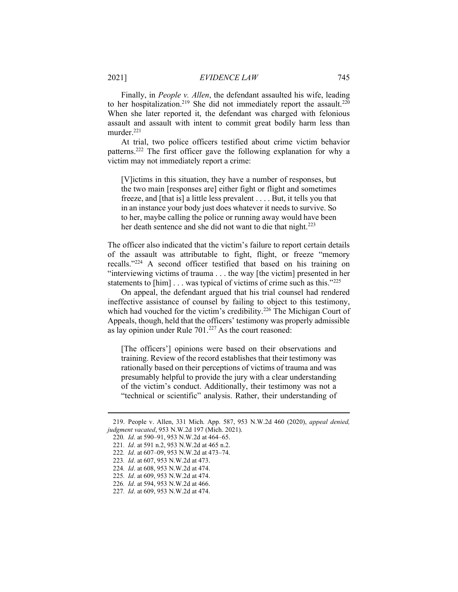Finally, in People v. Allen, the defendant assaulted his wife, leading to her hospitalization.<sup>219</sup> She did not immediately report the assault.<sup>220</sup> When she later reported it, the defendant was charged with felonious assault and assault with intent to commit great bodily harm less than murder.<sup>221</sup>

At trial, two police officers testified about crime victim behavior patterns.<sup>222</sup> The first officer gave the following explanation for why a victim may not immediately report a crime:

[V]ictims in this situation, they have a number of responses, but the two main [responses are] either fight or flight and sometimes freeze, and [that is] a little less prevalent . . . . But, it tells you that in an instance your body just does whatever it needs to survive. So to her, maybe calling the police or running away would have been her death sentence and she did not want to die that night.<sup>223</sup>

The officer also indicated that the victim's failure to report certain details of the assault was attributable to fight, flight, or freeze "memory recalls."<sup>224</sup> A second officer testified that based on his training on "interviewing victims of trauma . . . the way [the victim] presented in her statements to [him] . . . was typical of victims of crime such as this."225

On appeal, the defendant argued that his trial counsel had rendered ineffective assistance of counsel by failing to object to this testimony, which had vouched for the victim's credibility.<sup>226</sup> The Michigan Court of Appeals, though, held that the officers' testimony was properly admissible as lay opinion under Rule 701.<sup>227</sup> As the court reasoned:

[The officers'] opinions were based on their observations and training. Review of the record establishes that their testimony was rationally based on their perceptions of victims of trauma and was presumably helpful to provide the jury with a clear understanding of the victim's conduct. Additionally, their testimony was not a "technical or scientific" analysis. Rather, their understanding of

 <sup>219.</sup> People v. Allen, 331 Mich. App. 587, 953 N.W.2d 460 (2020), appeal denied, judgment vacated, 953 N.W.2d 197 (Mich. 2021).

<sup>220</sup>. Id. at 590–91, 953 N.W.2d at 464–65.

<sup>221</sup>. Id. at 591 n.2, 953 N.W.2d at 465 n.2.

<sup>222</sup>. Id. at 607–09, 953 N.W.2d at 473–74.

<sup>223</sup>. Id. at 607, 953 N.W.2d at 473.

<sup>224</sup>. Id. at 608, 953 N.W.2d at 474.

<sup>225</sup>. Id. at 609, 953 N.W.2d at 474.

<sup>226</sup>. Id. at 594, 953 N.W.2d at 466.

<sup>227</sup>. Id. at 609, 953 N.W.2d at 474.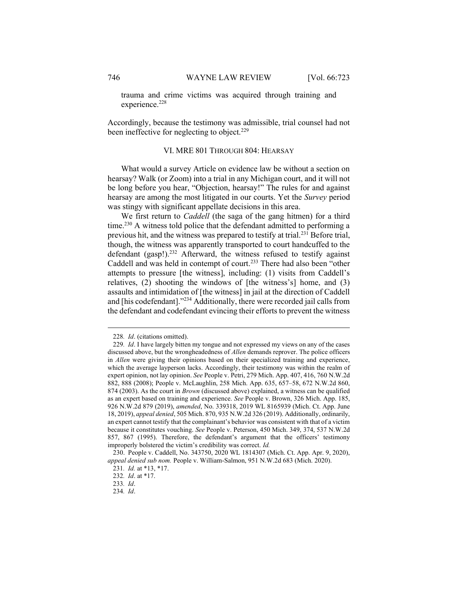trauma and crime victims was acquired through training and experience.<sup>228</sup>

Accordingly, because the testimony was admissible, trial counsel had not been ineffective for neglecting to object.<sup>229</sup>

#### VI. MRE 801 THROUGH 804: HEARSAY

What would a survey Article on evidence law be without a section on hearsay? Walk (or Zoom) into a trial in any Michigan court, and it will not be long before you hear, "Objection, hearsay!" The rules for and against hearsay are among the most litigated in our courts. Yet the Survey period was stingy with significant appellate decisions in this area.

We first return to *Caddell* (the saga of the gang hitmen) for a third time.<sup>230</sup> A witness told police that the defendant admitted to performing a previous hit, and the witness was prepared to testify at trial.<sup>231</sup> Before trial, though, the witness was apparently transported to court handcuffed to the defendant (gasp!).<sup>232</sup> Afterward, the witness refused to testify against Caddell and was held in contempt of court.<sup>233</sup> There had also been "other attempts to pressure [the witness], including: (1) visits from Caddell's relatives, (2) shooting the windows of [the witness's] home, and (3) assaults and intimidation of [the witness] in jail at the direction of Caddell and [his codefendant]."<sup>234</sup> Additionally, there were recorded jail calls from the defendant and codefendant evincing their efforts to prevent the witness

<sup>228</sup>. Id. (citations omitted).

<sup>229.</sup> Id. I have largely bitten my tongue and not expressed my views on any of the cases discussed above, but the wrongheadedness of *Allen* demands reprover. The police officers in Allen were giving their opinions based on their specialized training and experience, which the average layperson lacks. Accordingly, their testimony was within the realm of expert opinion, not lay opinion. See People v. Petri, 279 Mich. App. 407, 416, 760 N.W.2d 882, 888 (2008); People v. McLaughlin, 258 Mich. App. 635, 657–58, 672 N.W.2d 860, 874 (2003). As the court in *Brown* (discussed above) explained, a witness can be qualified as an expert based on training and experience. See People v. Brown, 326 Mich. App. 185, 926 N.W.2d 879 (2019), amended, No. 339318, 2019 WL 8165939 (Mich. Ct. App. June 18, 2019), appeal denied, 505 Mich. 870, 935 N.W.2d 326 (2019). Additionally, ordinarily, an expert cannot testify that the complainant's behavior was consistent with that of a victim because it constitutes vouching. See People v. Peterson, 450 Mich. 349, 374, 537 N.W.2d 857, 867 (1995). Therefore, the defendant's argument that the officers' testimony improperly bolstered the victim's credibility was correct. Id.

 <sup>230.</sup> People v. Caddell, No. 343750, 2020 WL 1814307 (Mich. Ct. App. Apr. 9, 2020), appeal denied sub nom. People v. William-Salmon, 951 N.W.2d 683 (Mich. 2020).

<sup>231</sup>. Id. at \*13, \*17.

<sup>232</sup>. Id. at \*17.

<sup>233</sup>. Id.

<sup>234</sup>. Id.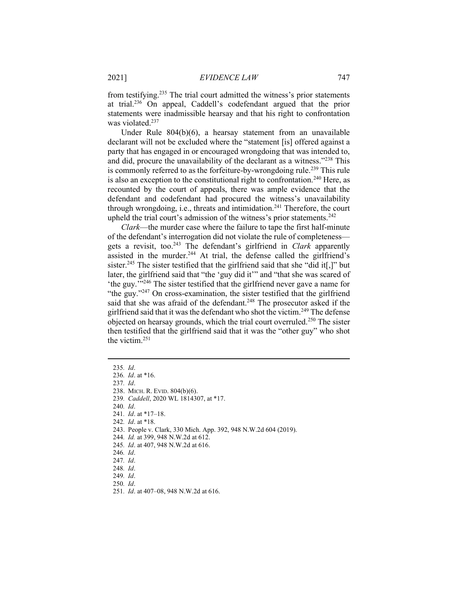from testifying.<sup>235</sup> The trial court admitted the witness's prior statements at trial.<sup>236</sup> On appeal, Caddell's codefendant argued that the prior statements were inadmissible hearsay and that his right to confrontation was violated.<sup>237</sup>

Under Rule 804(b)(6), a hearsay statement from an unavailable declarant will not be excluded where the "statement [is] offered against a party that has engaged in or encouraged wrongdoing that was intended to, and did, procure the unavailability of the declarant as a witness."<sup>238</sup> This is commonly referred to as the forfeiture-by-wrong doing rule.<sup>239</sup> This rule is also an exception to the constitutional right to confrontation.<sup>240</sup> Here, as recounted by the court of appeals, there was ample evidence that the defendant and codefendant had procured the witness's unavailability through wrongdoing, i.e., threats and intimidation.<sup>241</sup> Therefore, the court upheld the trial court's admission of the witness's prior statements.<sup>242</sup>

Clark—the murder case where the failure to tape the first half-minute of the defendant's interrogation did not violate the rule of completeness gets a revisit, too.<sup>243</sup> The defendant's girlfriend in *Clark* apparently assisted in the murder.<sup>244</sup> At trial, the defense called the girlfriend's sister.<sup>245</sup> The sister testified that the girlfriend said that she "did it[,]" but later, the girlfriend said that "the 'guy did it'" and "that she was scared of 'the guy.'"<sup>246</sup> The sister testified that the girlfriend never gave a name for "the guy."<sup>247</sup> On cross-examination, the sister testified that the girlfriend said that she was afraid of the defendant.<sup>248</sup> The prosecutor asked if the girlfriend said that it was the defendant who shot the victim.<sup>249</sup> The defense objected on hearsay grounds, which the trial court overruled.<sup>250</sup> The sister then testified that the girlfriend said that it was the "other guy" who shot the victim.<sup>251</sup>

239. Caddell, 2020 WL 1814307, at \*17.

- 242. Id. at \*18.
- 243. People v. Clark, 330 Mich. App. 392, 948 N.W.2d 604 (2019).
- 244. Id. at 399, 948 N.W.2d at 612.
- 245. Id. at 407, 948 N.W.2d at 616.
- 246. Id.
- 247. Id.
- 248. Id.
- 249. Id.
- 250. Id.
- 251. Id. at 407–08, 948 N.W.2d at 616.

<sup>235</sup>. Id.

<sup>236</sup>. Id. at \*16.

<sup>237</sup>. Id.

 <sup>238.</sup> MICH. R. EVID. 804(b)(6).

<sup>241</sup>. Id. at \*17–18.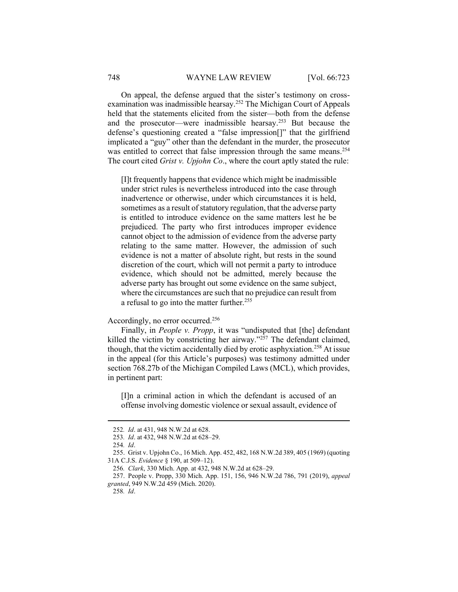#### 748 WAYNE LAW REVIEW [Vol. 66:723]

On appeal, the defense argued that the sister's testimony on crossexamination was inadmissible hearsay.<sup>252</sup> The Michigan Court of Appeals held that the statements elicited from the sister—both from the defense and the prosecutor—were inadmissible hearsay.<sup>253</sup> But because the defense's questioning created a "false impression[]" that the girlfriend implicated a "guy" other than the defendant in the murder, the prosecutor was entitled to correct that false impression through the same means.<sup>254</sup> The court cited *Grist v. Upjohn Co.*, where the court aptly stated the rule:

[I]t frequently happens that evidence which might be inadmissible under strict rules is nevertheless introduced into the case through inadvertence or otherwise, under which circumstances it is held, sometimes as a result of statutory regulation, that the adverse party is entitled to introduce evidence on the same matters lest he be prejudiced. The party who first introduces improper evidence cannot object to the admission of evidence from the adverse party relating to the same matter. However, the admission of such evidence is not a matter of absolute right, but rests in the sound discretion of the court, which will not permit a party to introduce evidence, which should not be admitted, merely because the adverse party has brought out some evidence on the same subject, where the circumstances are such that no prejudice can result from a refusal to go into the matter further.<sup>255</sup>

# Accordingly, no error occurred.<sup>256</sup>

Finally, in People v. Propp, it was "undisputed that [the] defendant killed the victim by constricting her airway."<sup>257</sup> The defendant claimed, though, that the victim accidentally died by erotic asphyxiation.<sup>258</sup> At issue in the appeal (for this Article's purposes) was testimony admitted under section 768.27b of the Michigan Compiled Laws (MCL), which provides, in pertinent part:

[I]n a criminal action in which the defendant is accused of an offense involving domestic violence or sexual assault, evidence of

<sup>252</sup>. Id. at 431, 948 N.W.2d at 628.

<sup>253</sup>. Id. at 432, 948 N.W.2d at 628–29.

<sup>254</sup>. Id.

 <sup>255.</sup> Grist v. Upjohn Co., 16 Mich. App. 452, 482, 168 N.W.2d 389, 405 (1969) (quoting 31A C.J.S. Evidence § 190, at 509–12).

<sup>256</sup>. Clark, 330 Mich. App. at 432, 948 N.W.2d at 628–29.

 <sup>257.</sup> People v. Propp, 330 Mich. App. 151, 156, 946 N.W.2d 786, 791 (2019), appeal granted, 949 N.W.2d 459 (Mich. 2020).

<sup>258</sup>. Id.